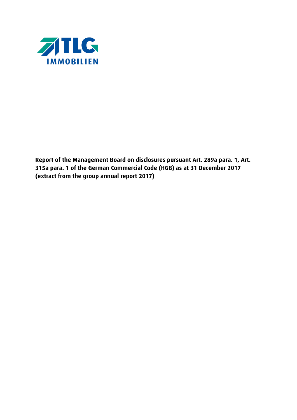

**Report of the Management Board on disclosures pursuant Art. 289a para. 1, Art. 315a para. 1 of the German Commercial Code (HGB) as at 31 December 2017 (extract from the group annual report 2017)**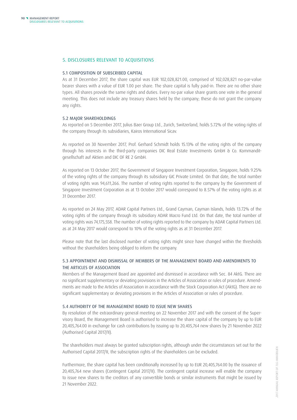## 5. DISCLOSURES RELEVANT TO ACQUISITIONS

#### 5.1 COMPOSITION OF SUBSCRIBED CAPITAL

As at 31 December 2017, the share capital was EUR 102,028,821.00, comprised of 102,028,821 no-par-value bearer shares with a value of EUR 1.00 per share. The share capital is fully paid-in. There are no other share types. All shares provide the same rights and duties. Every no-par value share grants one vote in the general meeting. This does not include any treasury shares held by the company; these do not grant the company any rights.

#### 5.2 MAJOR SHAREHOLDINGS

As reported on 5 December 2017, Julius Baer Group Ltd., Zurich, Switzerland, holds 5.72% of the voting rights of the company through its subsidiaries, Kairos International Sicav.

As reported on 30 November 2017, Prof. Gerhard Schmidt holds 15.13% of the voting rights of the company through his interests in the third-party companies DIC Real Estate Investments GmbH & Co. Kommanditgesellschaft auf Aktien and DIC OF RE 2 GmbH.

As reported on 13 October 2017, the Government of Singapore Investment Corporation, Singapore, holds 9.25% of the voting rights of the company through its subsidiary GIC Private Limited. On that date, the total number of voting rights was 94,611,266. The number of voting rights reported to the company by the Government of Singapore Investment Corporation as at 13 October 2017 would correspond to 8.57% of the voting rights as at 31 December 2017.

As reported on 24 May 2017, ADAR Capital Partners Ltd., Grand Cayman, Cayman Islands, holds 13.72% of the voting rights of the company through its subsidiary ADAR Macro Fund Ltd. On that date, the total number of voting rights was 74,175,558. The number of voting rights reported to the company by ADAR Capital Partners Ltd. as at 24 May 2017 would correspond to 10% of the voting rights as at 31 December 2017.

Please note that the last disclosed number of voting rights might since have changed within the thresholds without the shareholders being obliged to inform the company.

# 5.3 APPOINTMENT AND DISMISSAL OF MEMBERS OF THE MANAGEMENT BOARD AND AMENDMENTS TO THE ARTICLES OF ASSOCIATION

Members of the Management Board are appointed and dismissed in accordance with Sec. 84 AktG. There are no significant supplementary or deviating provisions in the Articles of Association or rules of procedure. Amendments are made to the Articles of Association in accordance with the Stock Corporation Act (AktG). There are no significant supplementary or deviating provisions in the Articles of Association or rules of procedure.

#### 5.4 AUTHORITY OF THE MANAGEMENT BOARD TO ISSUE NEW SHARES

By resolution of the extraordinary general meeting on 22 November 2017 and with the consent of the Supervisory Board, the Management Board is authorised to increase the share capital of the company by up to EUR 20,405,764.00 in exchange for cash contributions by issuing up to 20,405,764 new shares by 21 November 2022 (Authorised Capital 2017/II).

The shareholders must always be granted subscription rights, although under the circumstances set out for the Authorised Capital 2017/II, the subscription rights of the shareholders can be excluded.

Furthermore, the share capital has been conditionally increased by up to EUR 20,405,764.00 by the issuance of 20,405,764 new shares (Contingent Capital 2017/II). The contingent capital increase will enable the company to issue new shares to the creditors of any convertible bonds or similar instruments that might be issued by 21 November 2022.